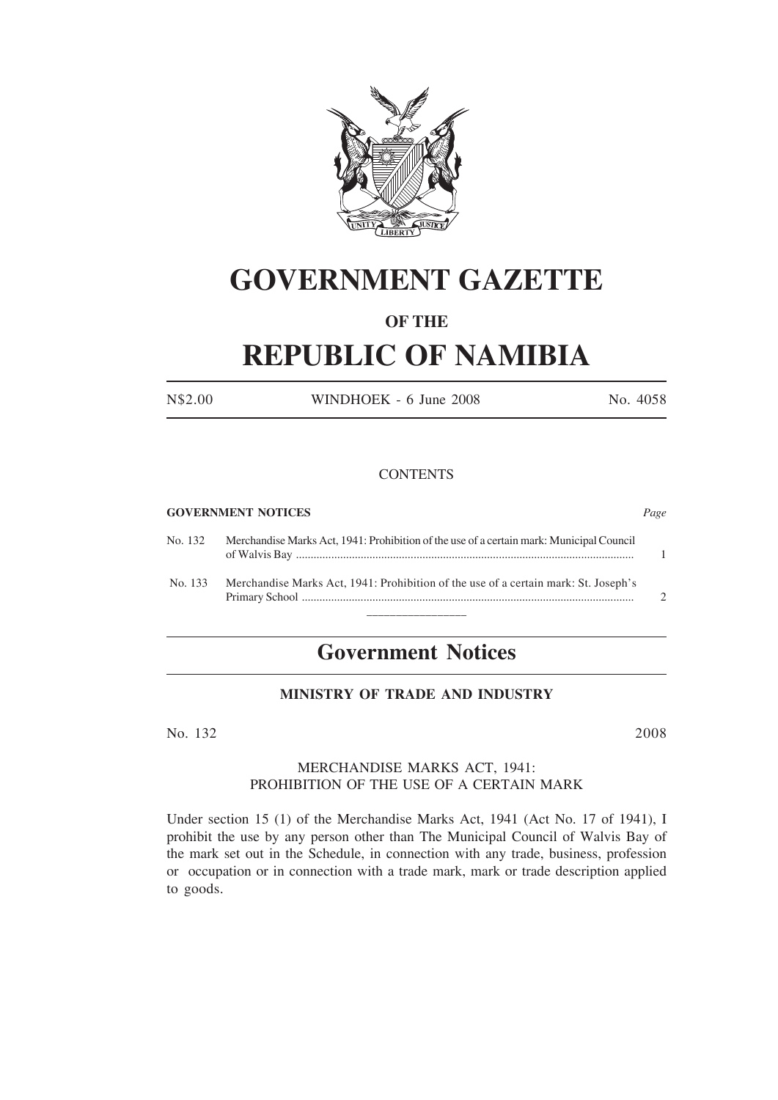

# **GOVERNMENT GAZETTE**

# **OF THE**

# **REPUBLIC OF NAMIBIA**

N\$2.00 WINDHOEK - 6 June 2008 No. 4058

### **CONTENTS**

#### **GOVERNMENT NOTICES** *Page*

| No. 132 | Merchandise Marks Act, 1941: Prohibition of the use of a certain mark: Municipal Council |  |
|---------|------------------------------------------------------------------------------------------|--|
| No. 133 | Merchandise Marks Act, 1941: Prohibition of the use of a certain mark: St. Joseph's      |  |
|         |                                                                                          |  |

# **Government Notices**

# **MINISTRY OF TRADE AND INDUSTRY**

No. 132 2008

## MERCHANDISE MARKS ACT, 1941: PROHIBITION OF THE USE OF A CERTAIN MARK

Under section 15 (1) of the Merchandise Marks Act, 1941 (Act No. 17 of 1941), I prohibit the use by any person other than The Municipal Council of Walvis Bay of the mark set out in the Schedule, in connection with any trade, business, profession or occupation or in connection with a trade mark, mark or trade description applied to goods.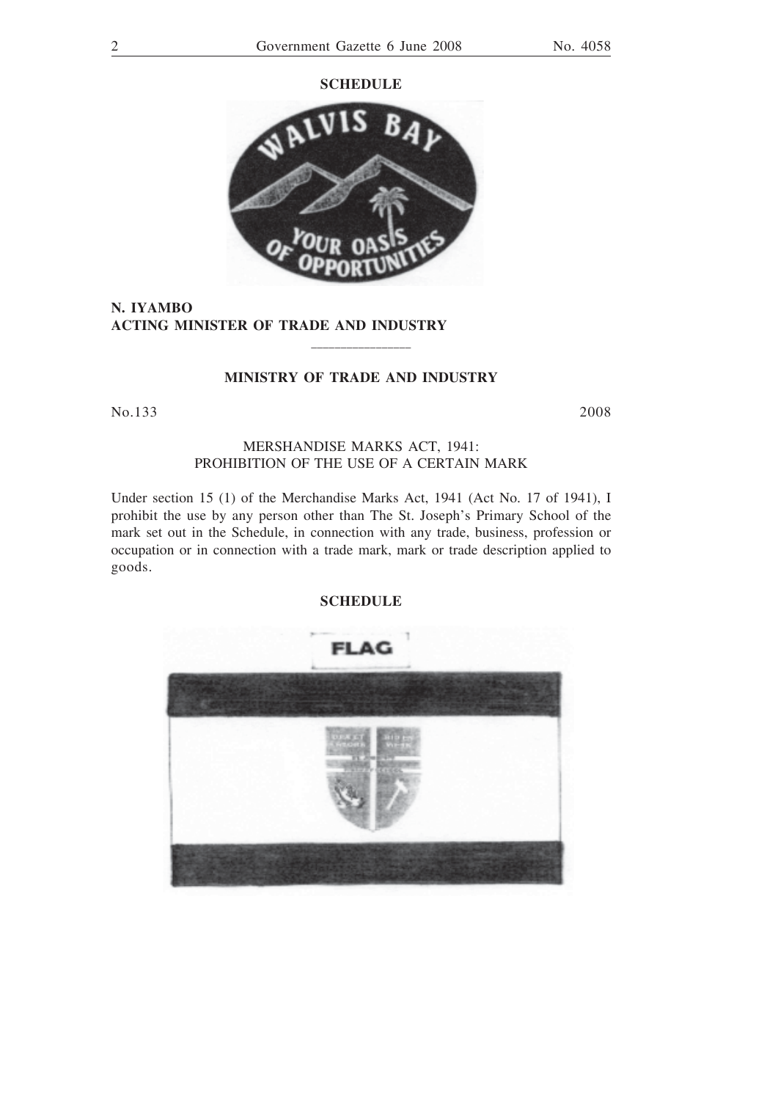#### **SCHEDULE**



**N. IYAMBO ACTING MINISTER OF TRADE AND INDUSTRY**

#### **MINISTRY OF TRADE AND INDUSTRY**

\_\_\_\_\_\_\_\_\_\_\_\_\_\_\_\_\_

No.133 2008

# MERSHANDISE MARKS ACT, 1941: PROHIBITION OF THE USE OF A CERTAIN MARK

Under section 15 (1) of the Merchandise Marks Act, 1941 (Act No. 17 of 1941), I prohibit the use by any person other than The St. Joseph's Primary School of the mark set out in the Schedule, in connection with any trade, business, profession or occupation or in connection with a trade mark, mark or trade description applied to goods.

### **SCHEDULE**